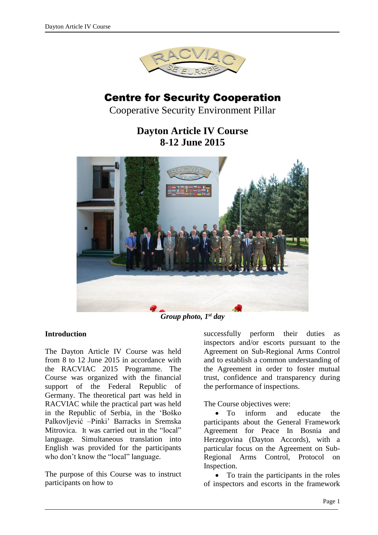

# Centre for Security Cooperation

Cooperative Security Environment Pillar

## **Dayton Article IV Course 8-12 June 2015**



*Group photo, 1st day*

#### **Introduction**

The Dayton Article IV Course was held from 8 to 12 June 2015 in accordance with the RACVIAC 2015 Programme. The Course was organized with the financial support of the Federal Republic of Germany. The theoretical part was held in RACVIAC while the practical part was held in the Republic of Serbia, in the 'Boško Palkovljević –Pinki' Barracks in Sremska Mitrovica. It was carried out in the "local" language. Simultaneous translation into English was provided for the participants who don't know the "local" language.

The purpose of this Course was to instruct participants on how to

successfully perform their duties as inspectors and/or escorts pursuant to the Agreement on Sub-Regional Arms Control and to establish a common understanding of the Agreement in order to foster mutual trust, confidence and transparency during the performance of inspections.

The Course objectives were:

• To inform and educate the participants about the General Framework Agreement for Peace In Bosnia and Herzegovina (Dayton Accords), with a particular focus on the Agreement on Sub-Regional Arms Control, Protocol on Inspection.

 To train the participants in the roles of inspectors and escorts in the framework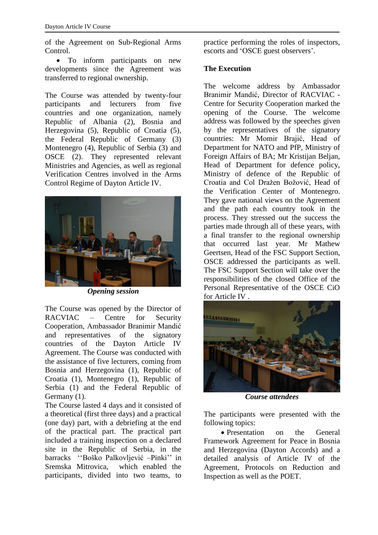of the Agreement on Sub-Regional Arms Control.

 To inform participants on new developments since the Agreement was transferred to regional ownership.

The Course was attended by twenty-four participants and lecturers from five countries and one organization, namely Republic of Albania (2), Bosnia and Herzegovina (5), Republic of Croatia (5), the Federal Republic of Germany (3) Montenegro (4), Republic of Serbia (3) and OSCE (2). They represented relevant Ministries and Agencies, as well as regional Verification Centres involved in the Arms Control Regime of Dayton Article IV.



*Opening session*

The Course was opened by the Director of RACVIAC – Centre for Security Cooperation, Ambassador Branimir Mandić and representatives of the signatory countries of the Dayton Article IV Agreement. The Course was conducted with the assistance of five lecturers, coming from Bosnia and Herzegovina (1), Republic of Croatia (1), Montenegro (1), Republic of Serbia (1) and the Federal Republic of Germany (1).

The Course lasted 4 days and it consisted of a theoretical (first three days) and a practical (one day) part, with a debriefing at the end of the practical part. The practical part included a training inspection on a declared site in the Republic of Serbia, in the barracks ''Boško Palkovljević –Pinki'' in Sremska Mitrovica, which enabled the participants, divided into two teams, to practice performing the roles of inspectors, escorts and 'OSCE guest observers'.

#### **The Execution**

The welcome address by Ambassador Branimir Mandić, Director of RACVIAC - Centre for Security Cooperation marked the opening of the Course. The welcome address was followed by the speeches given by the representatives of the signatory countries: Mr Momir Brajić, Head of Department for NATO and PfP, Ministry of Foreign Affairs of BA; Mr Kristijan Beljan, Head of Department for defence policy, Ministry of defence of the Republic of Croatia and Col Dražen Božović, Head of the Verification Center of Montenegro. They gave national views on the Agreement and the path each country took in the process. They stressed out the success the parties made through all of these years, with a final transfer to the regional ownership that occurred last year. Mr Mathew Geertsen, Head of the FSC Support Section, OSCE addressed the participants as well. The FSC Support Section will take over the responsibilities of the closed Office of the Personal Representative of the OSCE CiO for Article IV .



*Course attendees*

The participants were presented with the following topics:

• Presentation on the General Framework Agreement for Peace in Bosnia and Herzegovina (Dayton Accords) and a detailed analysis of Article IV of the Agreement, Protocols on Reduction and Inspection as well as the POET.